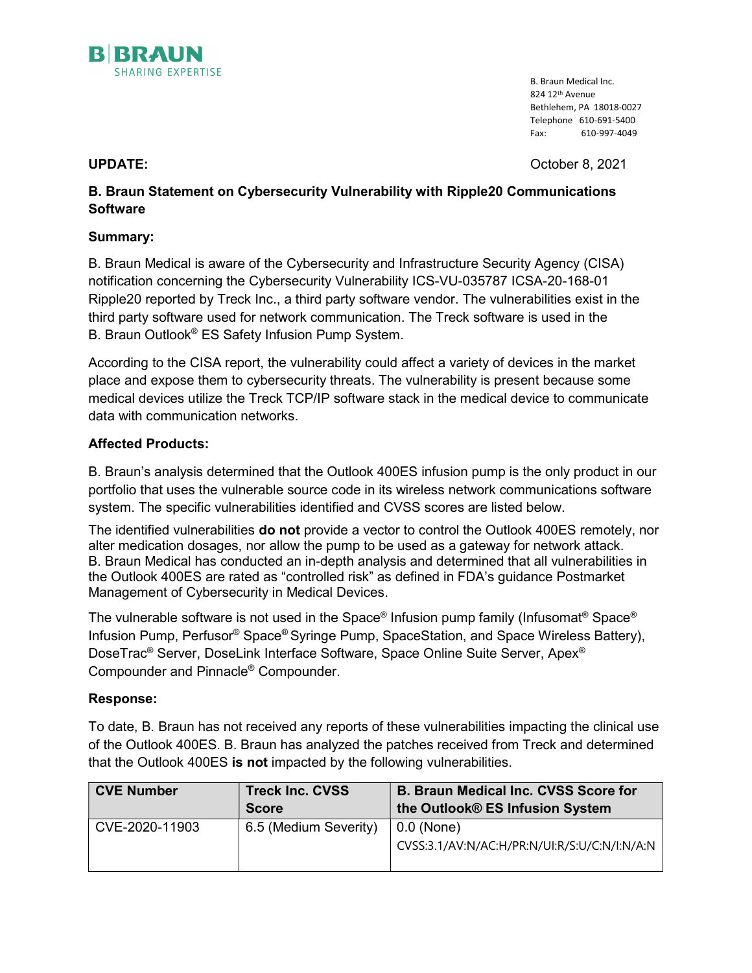

B. Braun Medical Inc. 824 12th Avenue Bethlehem, PA 18018-0027 Telephone 610-691-5400 Fax: 610-997-4049

UPDATE: October 8, 2021

# B. Braun Statement on Cybersecurity Vulnerability with Ripple20 Communications Software

# Summary:

B. Braun Medical is aware of the Cybersecurity and Infrastructure Security Agency (CISA) notification concerning the Cybersecurity Vulnerability ICS-VU-035787 ICSA-20-168-01 Ripple20 reported by Treck Inc., a third party software vendor. The vulnerabilities exist in the third party software used for network communication. The Treck software is used in the B. Braun Outlook® ES Safety Infusion Pump System.

According to the CISA report, the vulnerability could affect a variety of devices in the market place and expose them to cybersecurity threats. The vulnerability is present because some medical devices utilize the Treck TCP/IP software stack in the medical device to communicate data with communication networks.

# Affected Products:

B. Braun's analysis determined that the Outlook 400ES infusion pump is the only product in our portfolio that uses the vulnerable source code in its wireless network communications software system. The specific vulnerabilities identified and CVSS scores are listed below.

The identified vulnerabilities **do not** provide a vector to control the Outlook 400ES remotely, nor alter medication dosages, nor allow the pump to be used as a gateway for network attack. B. Braun Medical has conducted an in-depth analysis and determined that all vulnerabilities in the Outlook 400ES are rated as "controlled risk" as defined in FDA's guidance Postmarket Management of Cybersecurity in Medical Devices.

The vulnerable software is not used in the Space® Infusion pump family (Infusomat® Space® Infusion Pump, Perfusor® Space® Syringe Pump, SpaceStation, and Space Wireless Battery), DoseTrac® Server, DoseLink Interface Software, Space Online Suite Server, Apex® Compounder and Pinnacle® Compounder.

## Response:

To date, B. Braun has not received any reports of these vulnerabilities impacting the clinical use of the Outlook 400ES. B. Braun has analyzed the patches received from Treck and determined that the Outlook 400ES is not impacted by the following vulnerabilities.

| <b>CVE Number</b> | <b>Treck Inc. CVSS</b> | <b>B. Braun Medical Inc. CVSS Score for</b>  |
|-------------------|------------------------|----------------------------------------------|
|                   | <b>Score</b>           | the Outlook® ES Infusion System              |
| CVE-2020-11903    | 6.5 (Medium Severity)  | $\mid$ 0.0 (None)                            |
|                   |                        | CVSS:3.1/AV:N/AC:H/PR:N/UI:R/S:U/C:N/I:N/A:N |